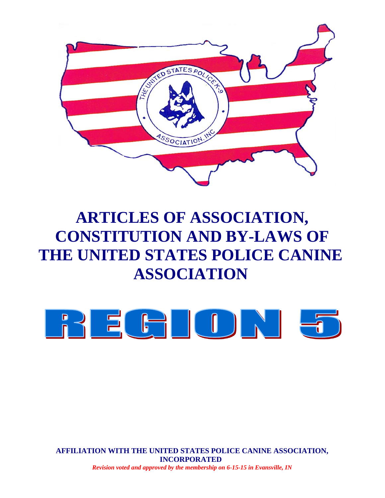

# **ARTICLES OF ASSOCIATION, CONSTITUTION AND BY-LAWS OF THE UNITED STATES POLICE CANINE ASSOCIATION**



**AFFILIATION WITH THE UNITED STATES POLICE CANINE ASSOCIATION, INCORPORATED** *Revision voted and approved by the membership on 6-15-15 in Evansville, IN*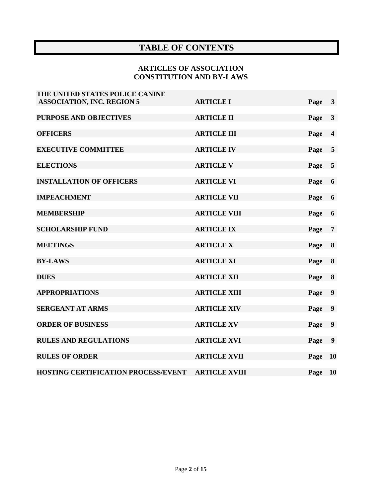# **TABLE OF CONTENTS**

# **ARTICLES OF ASSOCIATION CONSTITUTION AND BY-LAWS**

| THE UNITED STATES POLICE CANINE     |                      |      |                         |
|-------------------------------------|----------------------|------|-------------------------|
| <b>ASSOCIATION, INC. REGION 5</b>   | <b>ARTICLE I</b>     | Page | $\mathbf{3}$            |
| <b>PURPOSE AND OBJECTIVES</b>       | <b>ARTICLE II</b>    | Page | $\mathbf{3}$            |
| <b>OFFICERS</b>                     | <b>ARTICLE III</b>   | Page | $\overline{\mathbf{4}}$ |
| <b>EXECUTIVE COMMITTEE</b>          | <b>ARTICLE IV</b>    | Page | 5                       |
| <b>ELECTIONS</b>                    | <b>ARTICLE V</b>     | Page | 5                       |
| <b>INSTALLATION OF OFFICERS</b>     | <b>ARTICLE VI</b>    | Page | 6                       |
| <b>IMPEACHMENT</b>                  | <b>ARTICLE VII</b>   | Page | 6                       |
| <b>MEMBERSHIP</b>                   | <b>ARTICLE VIII</b>  | Page | 6                       |
| <b>SCHOLARSHIP FUND</b>             | <b>ARTICLE IX</b>    | Page | $\overline{7}$          |
| <b>MEETINGS</b>                     | <b>ARTICLE X</b>     | Page | 8                       |
| <b>BY-LAWS</b>                      | <b>ARTICLE XI</b>    | Page | 8                       |
| <b>DUES</b>                         | <b>ARTICLE XII</b>   | Page | 8                       |
| <b>APPROPRIATIONS</b>               | <b>ARTICLE XIII</b>  | Page | $\boldsymbol{9}$        |
| <b>SERGEANT AT ARMS</b>             | <b>ARTICLE XIV</b>   | Page | 9                       |
| <b>ORDER OF BUSINESS</b>            | <b>ARTICLE XV</b>    | Page | $\boldsymbol{9}$        |
| <b>RULES AND REGULATIONS</b>        | <b>ARTICLE XVI</b>   | Page | 9                       |
| <b>RULES OF ORDER</b>               | <b>ARTICLE XVII</b>  | Page | <b>10</b>               |
| HOSTING CERTIFICATION PROCESS/EVENT | <b>ARTICLE XVIII</b> | Page | <b>10</b>               |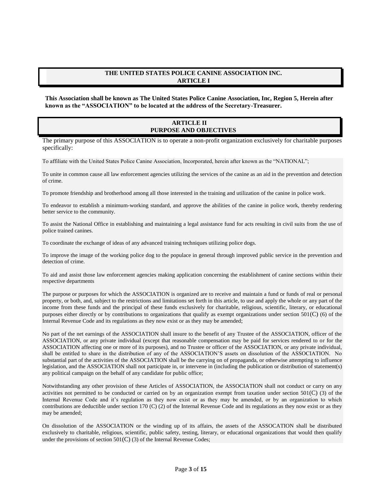## **THE UNITED STATES POLICE CANINE ASSOCIATION INC. ARTICLE I**

**This Association shall be known as The United States Police Canine Association, Inc, Region 5, Herein after known as the "ASSOCIATION" to be located at the address of the Secretary-Treasurer.**

## **ARTICLE II PURPOSE AND OBJECTIVES**

The primary purpose of this ASSOCIATION is to operate a non-profit organization exclusively for charitable purposes specifically:

To affiliate with the United States Police Canine Association, Incorporated, herein after known as the "NATIONAL";

To unite in common cause all law enforcement agencies utilizing the services of the canine as an aid in the prevention and detection of crime.

To promote friendship and brotherhood among all those interested in the training and utilization of the canine in police work.

To endeavor to establish a minimum-working standard, and approve the abilities of the canine in police work, thereby rendering better service to the community.

To assist the National Office in establishing and maintaining a legal assistance fund for acts resulting in civil suits from the use of police trained canines.

To coordinate the exchange of ideas of any advanced training techniques utilizing police dogs.

To improve the image of the working police dog to the populace in general through improved public service in the prevention and detection of crime.

To aid and assist those law enforcement agencies making application concerning the establishment of canine sections within their respective departments

The purpose or purposes for which the ASSOCIATION is organized are to receive and maintain a fund or funds of real or personal property, or both, and, subject to the restrictions and limitations set forth in this article, to use and apply the whole or any part of the income from these funds and the principal of these funds exclusively for charitable, religious, scientific, literary, or educational purposes either directly or by contributions to organizations that qualify as exempt organizations under section 501(C) (6) of the Internal Revenue Code and its regulations as they now exist or as they may be amended;

No part of the net earnings of the ASSOCIATION shall insure to the benefit of any Trustee of the ASSOCIATION, officer of the ASSOCIATION, or any private individual (except that reasonable compensation may be paid for services rendered to or for the ASSOCIATION affecting one or more of its purposes), and no Trustee or officer of the ASSOCIATION, or any private individual, shall be entitled to share in the distribution of any of the ASSOCIATION'S assets on dissolution of the ASSOCIATION. No substantial part of the activities of the ASSOCIATION shall be the carrying on of propaganda, or otherwise attempting to influence legislation, and the ASSOCIATION shall not participate in, or intervene in (including the publication or distribution of statement(s) any political campaign on the behalf of any candidate for public office;

Notwithstanding any other provision of these Articles of ASSOCIATION, the ASSOCIATION shall not conduct or carry on any activities not permitted to be conducted or carried on by an organization exempt from taxation under section  $501(C)$  (3) of the Internal Revenue Code and it's regulation as they now exist or as they may be amended, or by an organization to which contributions are deductible under section 170 (C) (2) of the Internal Revenue Code and its regulations as they now exist or as they may be amended;

On dissolution of the ASSOCIATION or the winding up of its affairs, the assets of the ASSOCATION shall be distributed exclusively to charitable, religious, scientific, public safety, testing, literary, or educational organizations that would then qualify under the provisions of section  $501(C)$  (3) of the Internal Revenue Codes;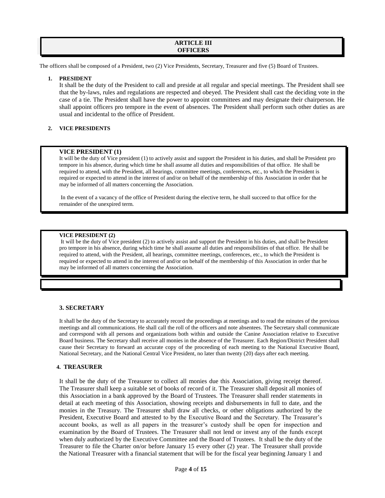## **ARTICLE III OFFICERS**

The officers shall be composed of a President, two (2) Vice Presidents, Secretary, Treasurer and five (5) Board of Trustees.

#### **1. PRESIDENT**

It shall be the duty of the President to call and preside at all regular and special meetings. The President shall see that the by-laws, rules and regulations are respected and obeyed. The President shall cast the deciding vote in the case of a tie. The President shall have the power to appoint committees and may designate their chairperson. He shall appoint officers pro tempore in the event of absences. The President shall perform such other duties as are usual and incidental to the office of President.

## **2. VICE PRESIDENTS**

#### **VICE PRESIDENT (1)**

It will be the duty of Vice president (1) to actively assist and support the President in his duties, and shall be President pro tempore in his absence, during which time he shall assume all duties and responsibilities of that office. He shall be required to attend, with the President, all hearings, committee meetings, conferences, etc., to which the President is required or expected to attend in the interest of and/or on behalf of the membership of this Association in order that he may be informed of all matters concerning the Association.

In the event of a vacancy of the office of President during the elective term, he shall succeed to that office for the remainder of the unexpired term.

#### **VICE PRESIDENT (2)**

It will be the duty of Vice president (2) to actively assist and support the President in his duties, and shall be President pro tempore in his absence, during which time he shall assume all duties and responsibilities of that office. He shall be required to attend, with the President, all hearings, committee meetings, conferences, etc., to which the President is required or expected to attend in the interest of and/or on behalf of the membership of this Association in order that he may be informed of all matters concerning the Association.

## **3. SECRETARY**

It shall be the duty of the Secretary to accurately record the proceedings at meetings and to read the minutes of the previous meetings and all communications. He shall call the roll of the officers and note absentees. The Secretary shall communicate and correspond with all persons and organizations both within and outside the Canine Association relative to Executive Board business. The Secretary shall receive all monies in the absence of the Treasurer. Each Region/District President shall cause their Secretary to forward an accurate copy of the proceeding of each meeting to the National Executive Board, National Secretary, and the National Central Vice President, no later than twenty (20) days after each meeting.

#### **4. TREASURER**

It shall be the duty of the Treasurer to collect all monies due this Association, giving receipt thereof. The Treasurer shall keep a suitable set of books of record of it. The Treasurer shall deposit all monies of this Association in a bank approved by the Board of Trustees. The Treasurer shall render statements in detail at each meeting of this Association, showing receipts and disbursements in full to date, and the monies in the Treasury. The Treasurer shall draw all checks, or other obligations authorized by the President, Executive Board and attested to by the Executive Board and the Secretary. The Treasurer's account books, as well as all papers in the treasurer's custody shall be open for inspection and examination by the Board of Trustees. The Treasurer shall not lend or invest any of the funds except when duly authorized by the Executive Committee and the Board of Trustees. It shall be the duty of the Treasurer to file the Charter on/or before January 15 every other (2) year. The Treasurer shall provide the National Treasurer with a financial statement that will be for the fiscal year beginning January 1 and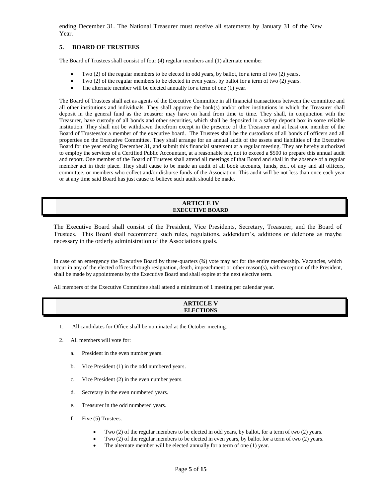ending December 31. The National Treasurer must receive all statements by January 31 of the New Year.

## **5. BOARD OF TRUSTEES**

The Board of Trustees shall consist of four (4) regular members and (1) alternate member

- Two (2) of the regular members to be elected in odd years, by ballot, for a term of two (2) years.
- Two (2) of the regular members to be elected in even years, by ballot for a term of two (2) years.
- The alternate member will be elected annually for a term of one (1) year.

The Board of Trustees shall act as agents of the Executive Committee in all financial transactions between the committee and all other institutions and individuals. They shall approve the bank(s) and/or other institutions in which the Treasurer shall deposit in the general fund as the treasurer may have on hand from time to time. They shall, in conjunction with the Treasurer, have custody of all bonds and other securities, which shall be deposited in a safety deposit box in some reliable institution. They shall not be withdrawn therefrom except in the presence of the Treasurer and at least one member of the Board of Trustees/or a member of the executive board. The Trustees shall be the custodians of all bonds of officers and all properties on the Executive Committee. They shall arrange for an annual audit of the assets and liabilities of the Executive Board for the year ending December 31, and submit this financial statement at a regular meeting. They are hereby authorized to employ the services of a Certified Public Accountant, at a reasonable fee, not to exceed a \$500 to prepare this annual audit and report. One member of the Board of Trustees shall attend all meetings of that Board and shall in the absence of a regular member act in their place. They shall cause to be made an audit of all book accounts, funds, etc., of any and all officers, committee, or members who collect and/or disburse funds of the Association. This audit will be not less than once each year or at any time said Board has just cause to believe such audit should be made.

#### **ARTICLE IV EXECUTIVE BOARD**

The Executive Board shall consist of the President, Vice Presidents, Secretary, Treasurer, and the Board of Trustees. This Board shall recommend such rules, regulations, addendum's, additions or deletions as maybe necessary in the orderly administration of the Associations goals.

In case of an emergency the Executive Board by three-quarters (¾) vote may act for the entire membership. Vacancies, which occur in any of the elected offices through resignation, death, impeachment or other reason(s), with exception of the President, shall be made by appointments by the Executive Board and shall expire at the next elective term.

All members of the Executive Committee shall attend a minimum of 1 meeting per calendar year.

| <b>ARTICLE V</b> |
|------------------|
| <b>ELECTIONS</b> |
|                  |

- 1. All candidates for Office shall be nominated at the October meeting.
- 2. All members will vote for:
	- a. President in the even number years.
	- b. Vice President (1) in the odd numbered years.
	- c. Vice President (2) in the even number years.
	- d. Secretary in the even numbered years.
	- e. Treasurer in the odd numbered years.
	- f. Five (5) Trustees.
		- Two (2) of the regular members to be elected in odd years, by ballot, for a term of two (2) years.
		- Two (2) of the regular members to be elected in even years, by ballot for a term of two (2) years.
		- The alternate member will be elected annually for a term of one (1) year.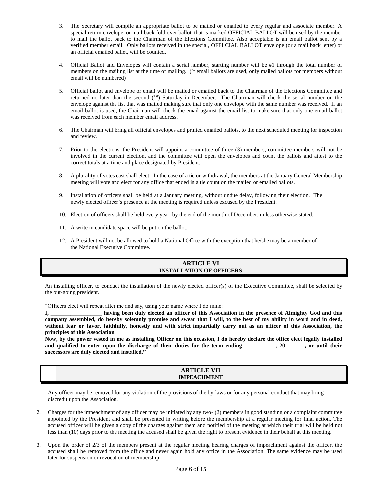- 3. The Secretary will compile an appropriate ballot to be mailed or emailed to every regular and associate member. A special return envelope, or mail back fold over ballot, that is marked OFFICIAL BALLOT will be used by the member to mail the ballot back to the Chairman of the Elections Committee. Also acceptable is an email ballot sent by a verified member email. Only ballots received in the special, OFFI CIAL BALLOT envelope (or a mail back letter) or an official emailed ballet, will be counted.
- 4. Official Ballot and Envelopes will contain a serial number, starting number will be #1 through the total number of members on the mailing list at the time of mailing. (If email ballots are used, only mailed ballots for members without email will be numbered)
- 5. Official ballot and envelope or email will be mailed or emailed back to the Chairman of the Elections Committee and returned no later than the second (<sup>1st</sup>) Saturday in December. The Chairman will check the serial number on the envelope against the list that was mailed making sure that only one envelope with the same number was received. If an email ballot is used, the Chairman will check the email against the email list to make sure that only one email ballot was received from each member email address.
- 6. The Chairman will bring all official envelopes and printed emailed ballots, to the next scheduled meeting for inspection and review.
- 7. Prior to the elections, the President will appoint a committee of three (3) members, committee members will not be involved in the current election, and the committee will open the envelopes and count the ballots and attest to the correct totals at a time and place designated by President.
- 8. A plurality of votes cast shall elect. In the case of a tie or withdrawal, the members at the January General Membership meeting will vote and elect for any office that ended in a tie count on the mailed or emailed ballots.
- 9. Installation of officers shall be held at a January meeting, without undue delay, following their election. The newly elected officer's presence at the meeting is required unless excused by the President.
- 10. Election of officers shall be held every year, by the end of the month of December, unless otherwise stated.
- 11. A write in candidate space will be put on the ballot.
- 12. A President will not be allowed to hold a National Office with the exception that he/she may be a member of the National Executive Committee.

## **ARTICLE VI INSTALLATION OF OFFICERS**

An installing officer, to conduct the installation of the newly elected officer(s) of the Executive Committee, shall be selected by the out-going president.

"Officers elect will repeat after me and say, using your name where I do mine:

**I, \_\_\_\_\_\_\_\_\_\_\_\_\_\_\_\_\_\_ having been duly elected an officer of this Association in the presence of Almighty God and this company assembled, do hereby solemnly promise and swear that I will, to the best of my ability in word and in deed,**  without fear or favor, faithfully, honestly and with strict impartially carry out as an officer of this Association, the **principles of this Association.**

**Now, by the power vested in me as installing Officer on this occasion, I do hereby declare the office elect legally installed**  and qualified to enter upon the discharge of their duties for the term ending \_\_\_\_\_\_\_\_, 20 \_\_\_\_\_, or until their **successors are duly elected and installed."**

#### **ARTICLE VII IMPEACHMENT**

- 1. Any officer may be removed for any violation of the provisions of the by-laws or for any personal conduct that may bring discredit upon the Association.
- 2. Charges for the impeachment of any officer may be initiated by any two- (2) members in good standing or a complaint committee appointed by the President and shall be presented in writing before the membership at a regular meeting for final action. The accused officer will be given a copy of the charges against them and notified of the meeting at which their trial will be held not less than (10) days prior to the meeting the accused shall be given the right to present evidence in their behalf at this meeting.
- 3. Upon the order of 2/3 of the members present at the regular meeting hearing charges of impeachment against the officer, the accused shall be removed from the office and never again hold any office in the Association. The same evidence may be used later for suspension or revocation of membership.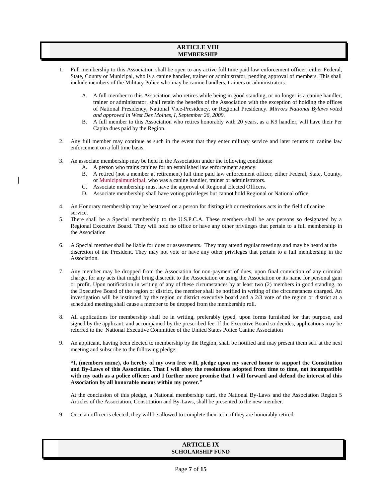## **ARTICLE VIII MEMBERSHIP**

- 1. Full membership to this Association shall be open to any active full time paid law enforcement officer, either Federal, State, County or Municipal, who is a canine handler, trainer or administrator, pending approval of members. This shall include members of the Military Police who may be canine handlers, trainers or administrators.
	- A. A full member to this Association who retires while being in good standing, or no longer is a canine handler, trainer or administrator, shall retain the benefits of the Association with the exception of holding the offices of National Presidency, National Vice-Presidency, or Regional Presidency. *Mirrors National Bylaws voted and approved in West Des Moines, I, September 26, 2009.*
	- B. A full member to this Association who retires honorably with 20 years, as a K9 handler, will have their Per Capita dues paid by the Region.
- 2. Any full member may continue as such in the event that they enter military service and later returns to canine law enforcement on a full time basis.
- 3. An associate membership may be held in the Association under the following conditions:
	- A. A person who trains canines for an established law enforcement agency.
	- B. A retired (not a member at retirement) full time paid law enforcement officer, either Federal, State, County, or Municipalmunicipal, who was a canine handler, trainer or administrators.
	- C. Associate membership must have the approval of Regional Elected Officers.
	- D. Associate membership shall have voting privileges but cannot hold Regional or National office.
- 4. An Honorary membership may be bestowed on a person for distinguish or meritorious acts in the field of canine service.
- 5. There shall be a Special membership to the U.S.P.C.A. These members shall be any persons so designated by a Regional Executive Board. They will hold no office or have any other privileges that pertain to a full membership in the Association
- 6. A Special member shall be liable for dues or assessments. They may attend regular meetings and may be heard at the discretion of the President. They may not vote or have any other privileges that pertain to a full membership in the Association.
- 7. Any member may be dropped from the Association for non-payment of dues, upon final conviction of any criminal charge, for any acts that might bring discredit to the Association or using the Association or its name for personal gain or profit. Upon notification in writing of any of these circumstances by at least two (2) members in good standing, to the Executive Board of the region or district, the member shall be notified in writing of the circumstances charged. An investigation will be instituted by the region or district executive board and a 2/3 vote of the region or district at a scheduled meeting shall cause a member to be dropped from the membership roll.
- 8. All applications for membership shall be in writing, preferably typed, upon forms furnished for that purpose, and signed by the applicant, and accompanied by the prescribed fee. If the Executive Board so decides, applications may be referred to the National Executive Committee of the United States Police Canine Association
- 9. An applicant, having been elected to membership by the Region, shall be notified and may present them self at the next meeting and subscribe to the following pledge:

**"I, (members name), do hereby of my own free will, pledge upon my sacred honor to support the Constitution and By-Laws of this Association. That I will obey the resolutions adopted from time to time, not incompatible with my oath as a police officer; and I further more promise that I will forward and defend the interest of this Association by all honorable means within my power."**

At the conclusion of this pledge, a National membership card, the National By-Laws and the Association Region 5 Articles of the Association, Constitution and By-Laws, shall be presented to the new member.

9. Once an officer is elected, they will be allowed to complete their term if they are honorably retired.

## **ARTICLE IX SCHOLARSHIP FUND**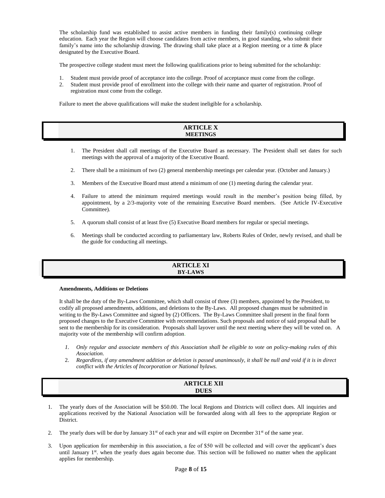The scholarship fund was established to assist active members in funding their family(s) continuing college education. Each year the Region will choose candidates from active members, in good standing, who submit their family's name into the scholarship drawing. The drawing shall take place at a Region meeting or a time & place designated by the Executive Board.

The prospective college student must meet the following qualifications prior to being submitted for the scholarship:

- 1. Student must provide proof of acceptance into the college. Proof of acceptance must come from the college.
- 2. Student must provide proof of enrollment into the college with their name and quarter of registration. Proof of registration must come from the college.

Failure to meet the above qualifications will make the student ineligible for a scholarship.

| <b><i><u>ADTICI E V</u></i></b> |
|---------------------------------|
| ARIIULE A                       |
| <b>MEETINGS</b>                 |
|                                 |
|                                 |

- 1. The President shall call meetings of the Executive Board as necessary. The President shall set dates for such meetings with the approval of a majority of the Executive Board.
- 2. There shall be a minimum of two (2) general membership meetings per calendar year. (October and January.)
- 3. Members of the Executive Board must attend a minimum of one (1) meeting during the calendar year.
- 4. Failure to attend the minimum required meetings would result in the member's position being filled, by appointment, by a 2/3-majority vote of the remaining Executive Board members. (See Article IV-Executive Committee).
- 5. A quorum shall consist of at least five (5) Executive Board members for regular or special meetings.
- 6. Meetings shall be conducted according to parliamentary law, Roberts Rules of Order, newly revised, and shall be the guide for conducting all meetings.

| <b>ARTICLE XI</b> |
|-------------------|
|                   |
| <b>BY-LAWS</b>    |
|                   |
|                   |

#### **Amendments, Additions or Deletions**

It shall be the duty of the By-Laws Committee, which shall consist of three (3) members, appointed by the President, to codify all proposed amendments, additions, and deletions to the By-Laws. All proposed changes must be submitted in writing to the By-Laws Committee and signed by (2) Officers. The By-Laws Committee shall present in the final form proposed changes to the Executive Committee with recommendations. Such proposals and notice of said proposal shall be sent to the membership for its consideration. Proposals shall layover until the next meeting where they will be voted on. A majority vote of the membership will confirm adoption.

- *1. Only regular and associate members of this Association shall be eligible to vote on policy-making rules of this Association.*
- 2. *Regardless, if any amendment addition or deletion is passed unanimously, it shall be null and void if it is in direct conflict with the Articles of Incorporation or National bylaws.*

| <b>ARTICLE XII</b> |
|--------------------|
| <b>DUES</b>        |
|                    |

- 1. The yearly dues of the Association will be \$50.00. The local Regions and Districts will collect dues. All inquiries and applications received by the National Association will be forwarded along with all fees to the appropriate Region or District.
- 2. The yearly dues will be due by January  $31<sup>st</sup>$  of each year and will expire on December  $31<sup>st</sup>$  of the same year.
- 3. Upon application for membership in this association, a fee of \$50 will be collected and will cover the applicant's dues until January  $1<sup>st</sup>$ . when the yearly dues again become due. This section will be followed no matter when the applicant applies for membership.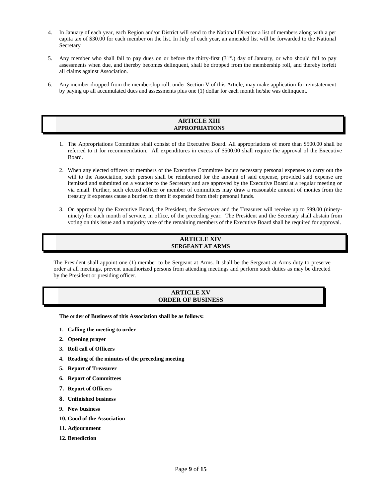- 4. In January of each year, each Region and/or District will send to the National Director a list of members along with a per capita tax of \$30.00 for each member on the list. In July of each year, an amended list will be forwarded to the National **Secretary**
- 5. Any member who shall fail to pay dues on or before the thirty-first (31st.) day of January, or who should fail to pay assessments when due, and thereby becomes delinquent, shall be dropped from the membership roll, and thereby forfeit all claims against Association.
- 6. Any member dropped from the membership roll, under Section V of this Article, may make application for reinstatement by paying up all accumulated dues and assessments plus one (1) dollar for each month he/she was delinquent.

#### **ARTICLE XIII APPROPRIATIONS**

- 1. The Appropriations Committee shall consist of the Executive Board. All appropriations of more than \$500.00 shall be referred to it for recommendation. All expenditures in excess of \$500.00 shall require the approval of the Executive Board.
- 2. When any elected officers or members of the Executive Committee incurs necessary personal expenses to carry out the will to the Association, such person shall be reimbursed for the amount of said expense, provided said expense are itemized and submitted on a voucher to the Secretary and are approved by the Executive Board at a regular meeting or via email. Further, such elected officer or member of committees may draw a reasonable amount of monies from the treasury if expenses cause a burden to them if expended from their personal funds.
- 3. On approval by the Executive Board, the President, the Secretary and the Treasurer will receive up to \$99.00 (ninetyninety) for each month of service, in office, of the preceding year. The President and the Secretary shall abstain from voting on this issue and a majority vote of the remaining members of the Executive Board shall be required for approval.

## **ARTICLE XIV SERGEANT AT ARMS**

The President shall appoint one (1) member to be Sergeant at Arms. It shall be the Sergeant at Arms duty to preserve order at all meetings, prevent unauthorized persons from attending meetings and perform such duties as may be directed by the President or presiding officer.

## **ARTICLE XV ORDER OF BUSINESS**

**The order of Business of this Association shall be as follows:**

- **1. Calling the meeting to order**
- **2. Opening prayer**
- **3. Roll call of Officers**
- **4. Reading of the minutes of the preceding meeting**
- **5. Report of Treasurer**
- **6. Report of Committees**
- **7. Report of Officers**
- **8. Unfinished business**
- **9. New business**
- **10. Good of the Association**
- **11. Adjournment**
- **12. Benediction**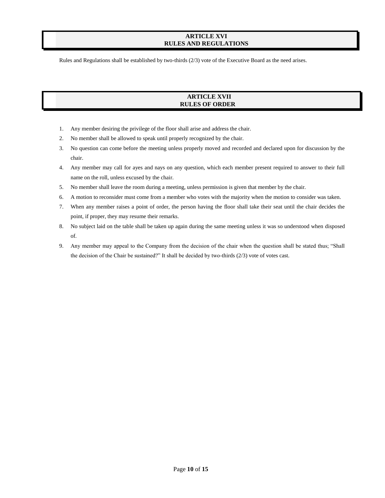## **ARTICLE XVI RULES AND REGULATIONS**

Rules and Regulations shall be established by two-thirds (2/3) vote of the Executive Board as the need arises.

## **ARTICLE XVII RULES OF ORDER**

- 1. Any member desiring the privilege of the floor shall arise and address the chair.
- 2. No member shall be allowed to speak until properly recognized by the chair.
- 3. No question can come before the meeting unless properly moved and recorded and declared upon for discussion by the chair.
- 4. Any member may call for ayes and nays on any question, which each member present required to answer to their full name on the roll, unless excused by the chair.
- 5. No member shall leave the room during a meeting, unless permission is given that member by the chair.
- 6. A motion to reconsider must come from a member who votes with the majority when the motion to consider was taken.
- 7. When any member raises a point of order, the person having the floor shall take their seat until the chair decides the point, if proper, they may resume their remarks.
- 8. No subject laid on the table shall be taken up again during the same meeting unless it was so understood when disposed of.
- 9. Any member may appeal to the Company from the decision of the chair when the question shall be stated thus; "Shall the decision of the Chair be sustained?" It shall be decided by two-thirds (2/3) vote of votes cast.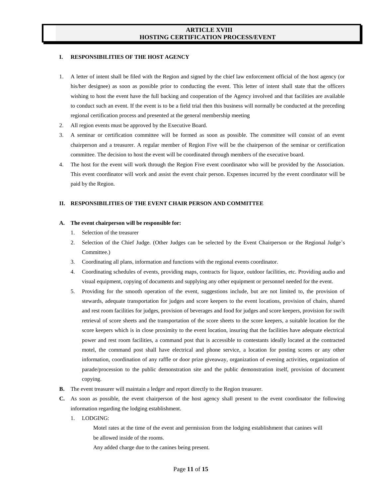## **ARTICLE XVIII HOSTING CERTIFICATION PROCESS/EVENT**

#### **I. RESPONSIBILITIES OF THE HOST AGENCY**

- 1. A letter of intent shall be filed with the Region and signed by the chief law enforcement official of the host agency (or his/her designee) as soon as possible prior to conducting the event. This letter of intent shall state that the officers wishing to host the event have the full backing and cooperation of the Agency involved and that facilities are available to conduct such an event. If the event is to be a field trial then this business will normally be conducted at the preceding regional certification process and presented at the general membership meeting
- 2. All region events must be approved by the Executive Board.
- 3. A seminar or certification committee will be formed as soon as possible. The committee will consist of an event chairperson and a treasurer. A regular member of Region Five will be the chairperson of the seminar or certification committee. The decision to host the event will be coordinated through members of the executive board.
- 4. The host for the event will work through the Region Five event coordinator who will be provided by the Association. This event coordinator will work and assist the event chair person. Expenses incurred by the event coordinator will be paid by the Region.

#### **II. RESPONSIBILITIES OF THE EVENT CHAIR PERSON AND COMMITTEE**

#### **A. The event chairperson will be responsible for:**

- 1. Selection of the treasurer
- 2. Selection of the Chief Judge. (Other Judges can be selected by the Event Chairperson or the Regional Judge's Committee.)
- 3. Coordinating all plans, information and functions with the regional events coordinator.
- 4. Coordinating schedules of events, providing maps, contracts for liquor, outdoor facilities, etc. Providing audio and visual equipment, copying of documents and supplying any other equipment or personnel needed for the event.
- 5. Providing for the smooth operation of the event, suggestions include, but are not limited to, the provision of stewards, adequate transportation for judges and score keepers to the event locations, provision of chairs, shared and rest room facilities for judges, provision of beverages and food for judges and score keepers, provision for swift retrieval of score sheets and the transportation of the score sheets to the score keepers, a suitable location for the score keepers which is in close proximity to the event location, insuring that the facilities have adequate electrical power and rest room facilities, a command post that is accessible to contestants ideally located at the contracted motel, the command post shall have electrical and phone service, a location for posting scores or any other information, coordination of any raffle or door prize giveaway, organization of evening activities, organization of parade/procession to the public demonstration site and the public demonstration itself, provision of document copying.
- **B.** The event treasurer will maintain a ledger and report directly to the Region treasurer.
- **C.** As soon as possible, the event chairperson of the host agency shall present to the event coordinator the following information regarding the lodging establishment.
	- 1. LODGING:

Motel rates at the time of the event and permission from the lodging establishment that canines will be allowed inside of the rooms.

Any added charge due to the canines being present.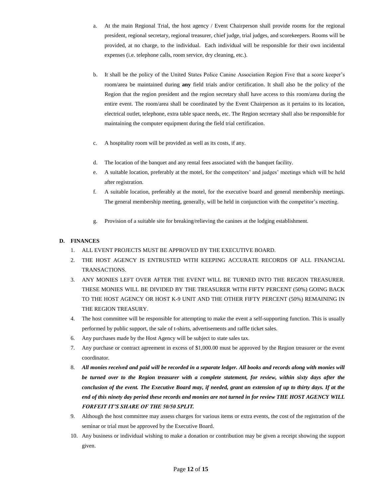- a. At the main Regional Trial, the host agency / Event Chairperson shall provide rooms for the regional president, regional secretary, regional treasurer, chief judge, trial judges, and scorekeepers. Rooms will be provided, at no charge, to the individual. Each individual will be responsible for their own incidental expenses (i.e. telephone calls, room service, dry cleaning, etc.).
- b. It shall be the policy of the United States Police Canine Association Region Five that a score keeper's room/area be maintained during **any** field trials and/or certification. It shall also be the policy of the Region that the region president and the region secretary shall have access to this room/area during the entire event. The room/area shall be coordinated by the Event Chairperson as it pertains to its location, electrical outlet, telephone, extra table space needs, etc. The Region secretary shall also be responsible for maintaining the computer equipment during the field trial certification.
- c. A hospitality room will be provided as well as its costs, if any.
- d. The location of the banquet and any rental fees associated with the banquet facility.
- e. A suitable location, preferably at the motel, for the competitors' and judges' meetings which will be held after registration.
- f. A suitable location, preferably at the motel, for the executive board and general membership meetings. The general membership meeting, generally, will be held in conjunction with the competitor's meeting.
- g. Provision of a suitable site for breaking/relieving the canines at the lodging establishment.

## **D. FINANCES**

- 1. ALL EVENT PROJECTS MUST BE APPROVED BY THE EXECUTIVE BOARD.
- 2. THE HOST AGENCY IS ENTRUSTED WITH KEEPING ACCURATE RECORDS OF ALL FINANCIAL TRANSACTIONS.
- 3. ANY MONIES LEFT OVER AFTER THE EVENT WILL BE TURNED INTO THE REGION TREASURER. THESE MONIES WILL BE DIVIDED BY THE TREASURER WITH FIFTY PERCENT (50%) GOING BACK TO THE HOST AGENCY OR HOST K-9 UNIT AND THE OTHER FIFTY PERCENT (50%) REMAINING IN THE REGION TREASURY.
- 4. The host committee will be responsible for attempting to make the event a self-supporting function. This is usually performed by public support, the sale of t-shirts, advertisements and raffle ticket sales.
- 6. Any purchases made by the Host Agency will be subject to state sales tax.
- 7. Any purchase or contract agreement in excess of \$1,000.00 must be approved by the Region treasurer or the event coordinator.
- 8. *All monies received and paid will be recorded in a separate ledger. All books and records along with monies will be turned over to the Region treasurer with a complete statement, for review, within sixty days after the conclusion of the event. The Executive Board may, if needed, grant an extension of up to thirty days. If at the end of this ninety day period these records and monies are not turned in for review THE HOST AGENCY WILL FORFEIT IT'S SHARE OF THE 50/50 SPLIT.*
- 9. Although the host committee may assess charges for various items or extra events, the cost of the registration of the seminar or trial must be approved by the Executive Board.
- 10. Any business or individual wishing to make a donation or contribution may be given a receipt showing the support given.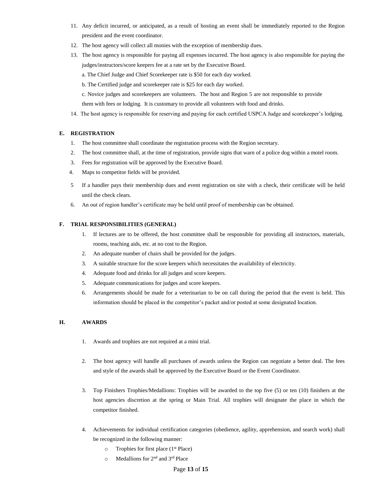- 11. Any deficit incurred, or anticipated, as a result of hosting an event shall be immediately reported to the Region president and the event coordinator.
- 12. The host agency will collect all monies with the exception of membership dues.
- 13. The host agency is responsible for paying all expenses incurred. The host agency is also responsible for paying the judges/instructors/score keepers fee at a rate set by the Executive Board.
	- a. The Chief Judge and Chief Scorekeeper rate is \$50 for each day worked.
	- b. The Certified judge and scorekeeper rate is \$25 for each day worked.
	- c. Novice judges and scorekeepers are volunteers. The host and Region 5 are not responsible to provide
	- them with fees or lodging. It is customary to provide all volunteers with food and drinks.
- 14. The host agency is responsible for reserving and paying for each certified USPCA Judge and scorekeeper's lodging.

## **E. REGISTRATION**

- 1. The host committee shall coordinate the registration process with the Region secretary.
- 2. The host committee shall, at the time of registration, provide signs that warn of a police dog within a motel room.
- 3. Fees for registration will be approved by the Executive Board.
- 4. Maps to competitor fields will be provided.
- 5 If a handler pays their membership dues and event registration on site with a check, their certificate will be held until the check clears.
- 6. An out of region handler's certificate may be held until proof of membership can be obtained.

## **F. TRIAL RESPONSIBILITIES (GENERAL)**

- 1. If lectures are to be offered, the host committee shall be responsible for providing all instructors, materials, rooms, teaching aids, etc. at no cost to the Region.
- 2. An adequate number of chairs shall be provided for the judges.
- 3. A suitable structure for the score keepers which necessitates the availability of electricity.
- 4. Adequate food and drinks for all judges and score keepers.
- 5. Adequate communications for judges and score keepers.
- 6. Arrangements should be made for a veterinarian to be on call during the period that the event is held. This information should be placed in the competitor's packet and/or posted at some designated location.

## **H. AWARDS**

- 1. Awards and trophies are not required at a mini trial.
- 2. The host agency will handle all purchases of awards unless the Region can negotiate a better deal. The fees and style of the awards shall be approved by the Executive Board or the Event Coordinator.
- 3. Top Finishers Trophies/Medallions: Trophies will be awarded to the top five (5) or ten (10) finishers at the host agencies discretion at the spring or Main Trial. All trophies will designate the place in which the competitor finished.
- 4. Achievements for individual certification categories (obedience, agility, apprehension, and search work) shall be recognized in the following manner:
	- $\circ$  Trophies for first place (1<sup>st</sup> Place)
	- o Medallions for 2nd and 3rd Place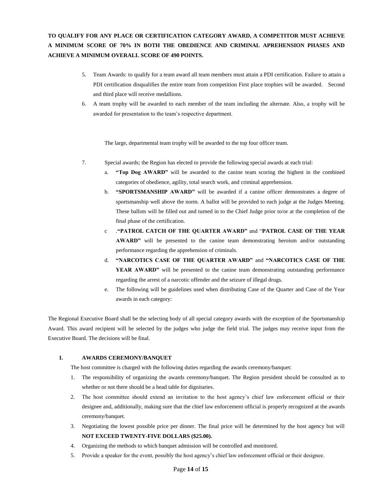## **TO QUALIFY FOR ANY PLACE OR CERTIFICATION CATEGORY AWARD, A COMPETITOR MUST ACHIEVE A MINIMUM SCORE OF 70% IN BOTH THE OBEDIENCE AND CRIMINAL APREHENSION PHASES AND ACHIEVE A MINIMUM OVERALL SCORE OF 490 POINTS.**

- 5. Team Awards: to qualify for a team award all team members must attain a PDI certification. Failure to attain a PDI certification disqualifies the entire team from competition First place trophies will be awarded. Second and third place will receive medallions.
- 6. A team trophy will be awarded to each member of the team including the alternate. Also, a trophy will be awarded for presentation to the team's respective department.

The large, departmental team trophy will be awarded to the top four officer team.

- 7. Special awards; the Region has elected to provide the following special awards at each trial:
	- a. **"Top Dog AWARD"** will be awarded to the canine team scoring the highest in the combined categories of obedience, agility, total search work, and criminal apprehension.
	- b. **"SPORTSMANSHIP AWARD"** will be awarded if a canine officer demonstrates a degree of sportsmanship well above the norm. A ballot will be provided to each judge at the Judges Meeting. These ballots will be filled out and turned in to the Chief Judge prior to/or at the completion of the final phase of the certification.
	- c .**"PATROL CATCH OF THE QUARTER AWARD"** and "**PATROL CASE OF THE YEAR AWARD"** will be presented to the canine team demonstrating heroism and/or outstanding performance regarding the apprehension of criminals.
	- d. **"NARCOTICS CASE OF THE QUARTER AWARD"** and **"NARCOTICS CASE OF THE YEAR AWARD"** will be presented to the canine team demonstrating outstanding performance regarding the arrest of a narcotic offender and the seizure of illegal drugs.
	- e. The following will be guidelines used when distributing Case of the Quarter and Case of the Year awards in each category:

The Regional Executive Board shall be the selecting body of all special category awards with the exception of the Sportsmanship Award. This award recipient will be selected by the judges who judge the field trial. The judges may receive input from the Executive Board. The decisions will be final.

#### **I. AWARDS CEREMONY/BANQUET**

The host committee is charged with the following duties regarding the awards ceremony/banquet:

- 1. The responsibility of organizing the awards ceremony/banquet. The Region president should be consulted as to whether or not there should be a head table for dignitaries.
- 2. The host committee should extend an invitation to the host agency's chief law enforcement official or their designee and, additionally, making sure that the chief law enforcement official is properly recognized at the awards ceremony/banquet.
- 3. Negotiating the lowest possible price per dinner. The final price will be determined by the host agency but will **NOT EXCEED TWENTY-FIVE DOLLARS (\$25.00).**
- 4. Organizing the methods to which banquet admission will be controlled and monitored.
- 5. Provide a speaker for the event, possibly the host agency's chief law enforcement official or their designee.